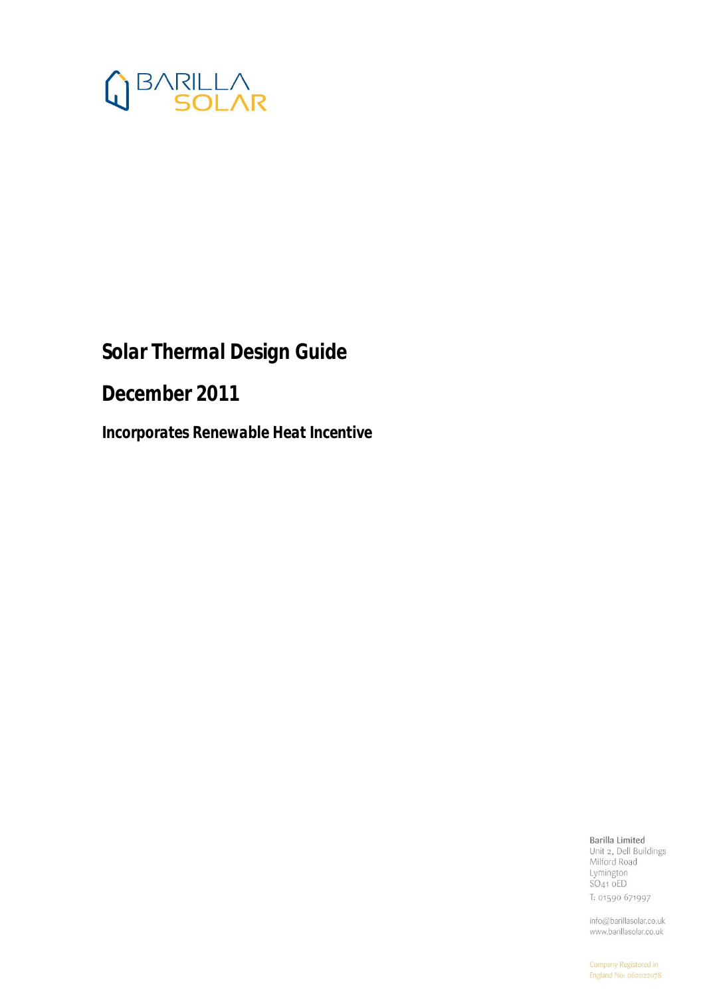

# *Solar Thermal Design Guide*

*December 2011* 

*Incorporates Renewable Heat Incentive* 

#### Barilla Limited

Unit 2, Dell Buildings Milford Road Lymington  $SO<sub>41</sub>$  oED T: 01590 671997

info@barillasolar.co.uk www.barillasolar.co.uk

Company Registered in England No: 062022078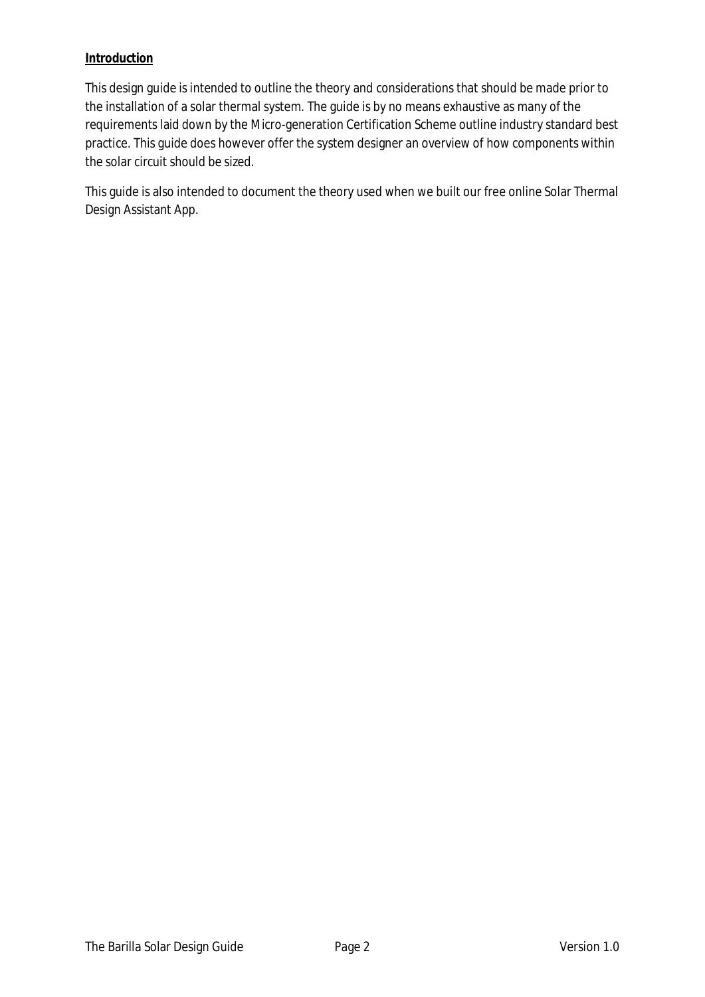#### **Introduction**

This design guide is intended to outline the theory and considerations that should be made prior to the installation of a solar thermal system. The guide is by no means exhaustive as many of the requirements laid down by the Micro-generation Certification Scheme outline industry standard best practice. This guide does however offer the system designer an overview of how components within the solar circuit should be sized.

This guide is also intended to document the theory used when we built our free online Solar Thermal Design Assistant App.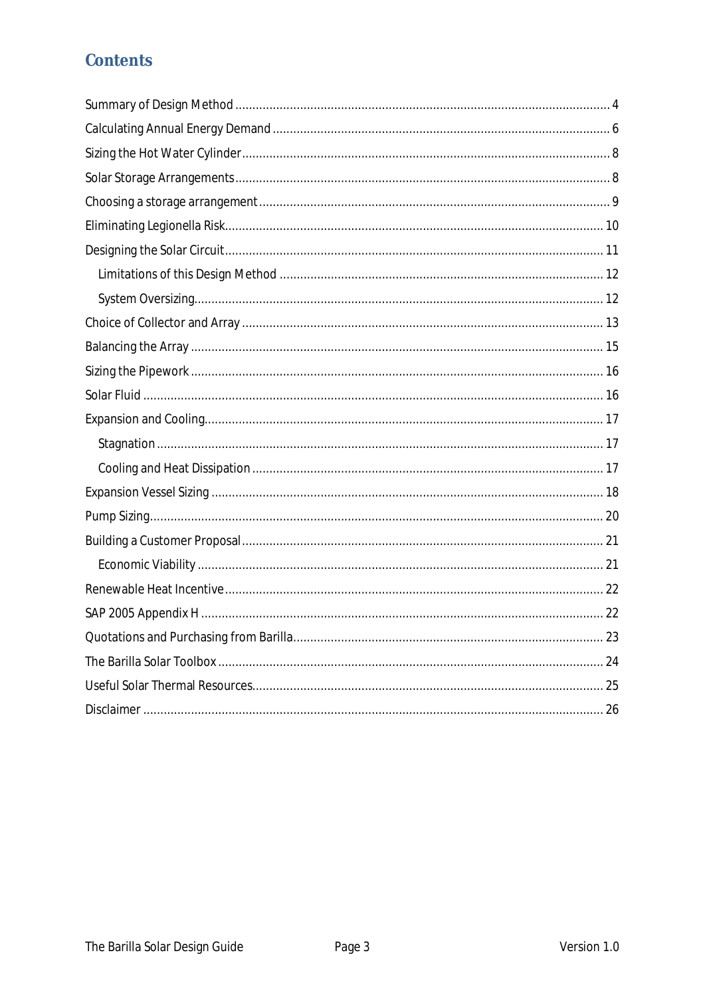# Contents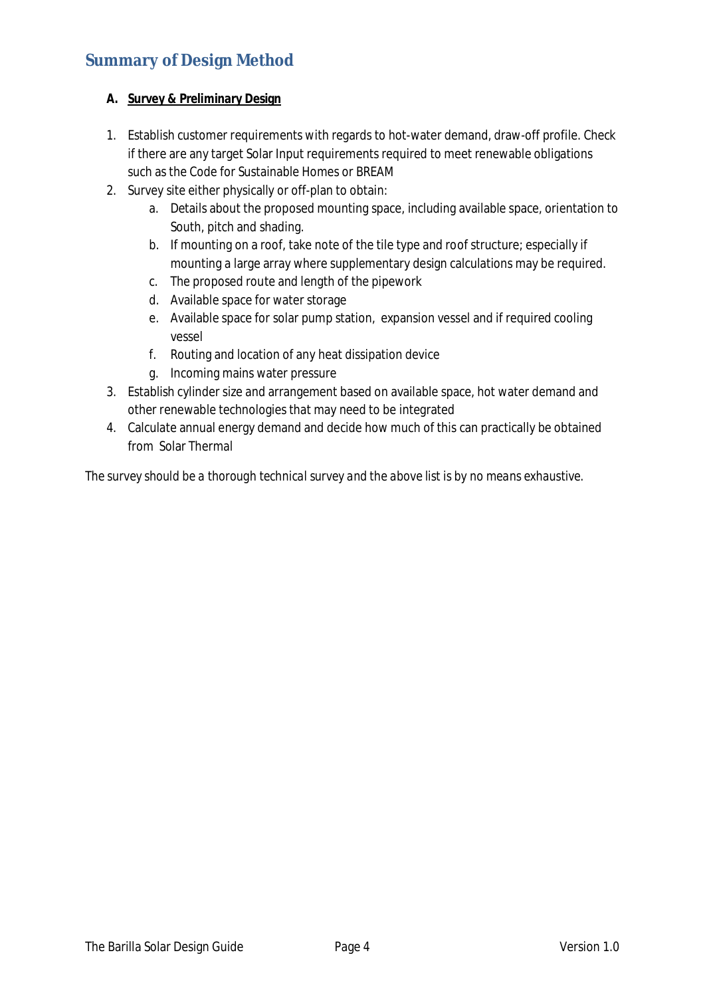# **Summary of Design Method**

#### **A. Survey & Preliminary Design**

- 1. Establish customer requirements with regards to hot-water demand, draw-off profile. Check if there are any target Solar Input requirements required to meet renewable obligations such as the Code for Sustainable Homes or BREAM
- 2. Survey site either physically or off-plan to obtain:
	- a. Details about the proposed mounting space, including available space, orientation to South, pitch and shading.
	- b. If mounting on a roof, take note of the tile type and roof structure; especially if mounting a large array where supplementary design calculations may be required.
	- c. The proposed route and length of the pipework
	- d. Available space for water storage
	- e. Available space for solar pump station, expansion vessel and if required cooling vessel
	- f. Routing and location of any heat dissipation device
	- g. Incoming mains water pressure
- 3. Establish cylinder size and arrangement based on available space, hot water demand and other renewable technologies that may need to be integrated
- 4. Calculate annual energy demand and decide how much of this can practically be obtained from Solar Thermal

*The survey should be a thorough technical survey and the above list is by no means exhaustive.*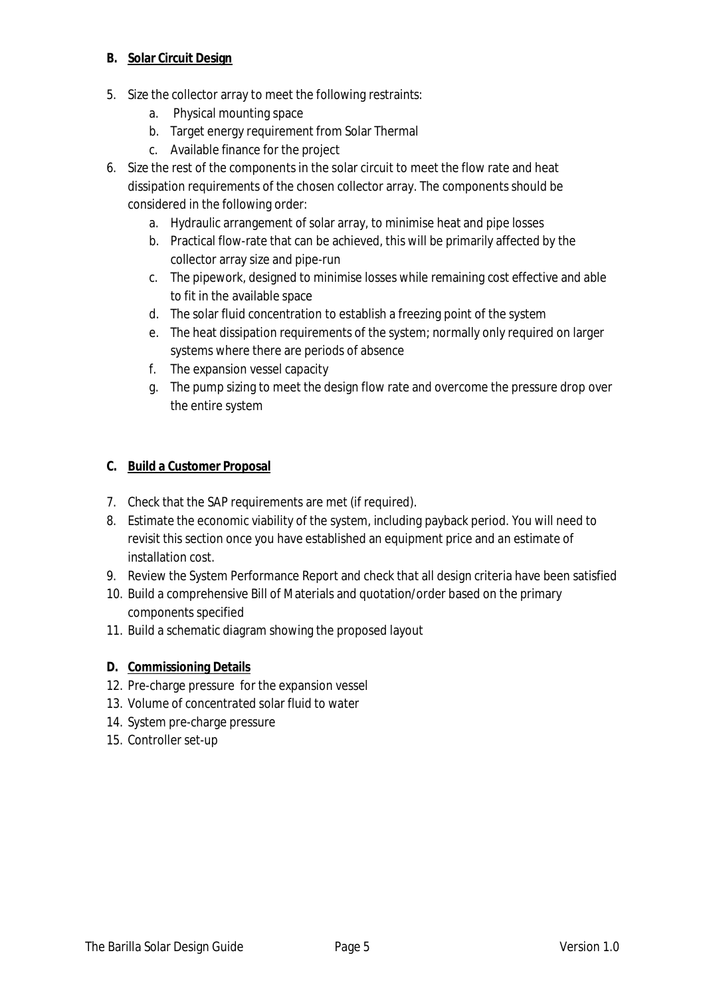#### **B. Solar Circuit Design**

- 5. Size the collector array to meet the following restraints:
	- a. Physical mounting space
	- b. Target energy requirement from Solar Thermal
	- c. Available finance for the project
- 6. Size the rest of the components in the solar circuit to meet the flow rate and heat dissipation requirements of the chosen collector array. The components should be considered in the following order:
	- a. Hydraulic arrangement of solar array, to minimise heat and pipe losses
	- b. Practical flow-rate that can be achieved, this will be primarily affected by the collector array size and pipe-run
	- c. The pipework, designed to minimise losses while remaining cost effective and able to fit in the available space
	- d. The solar fluid concentration to establish a freezing point of the system
	- e. The heat dissipation requirements of the system; normally only required on larger systems where there are periods of absence
	- f. The expansion vessel capacity
	- g. The pump sizing to meet the design flow rate and overcome the pressure drop over the entire system

#### **C. Build a Customer Proposal**

- 7. Check that the SAP requirements are met (if required).
- 8. Estimate the economic viability of the system, including payback period. You will need to revisit this section once you have established an equipment price and an estimate of installation cost.
- 9. Review the System Performance Report and check that all design criteria have been satisfied
- 10. Build a comprehensive Bill of Materials and quotation/order based on the primary components specified
- 11. Build a schematic diagram showing the proposed layout
- **D. Commissioning Details**
- 12. Pre-charge pressure for the expansion vessel
- 13. Volume of concentrated solar fluid to water
- 14. System pre-charge pressure
- 15. Controller set-up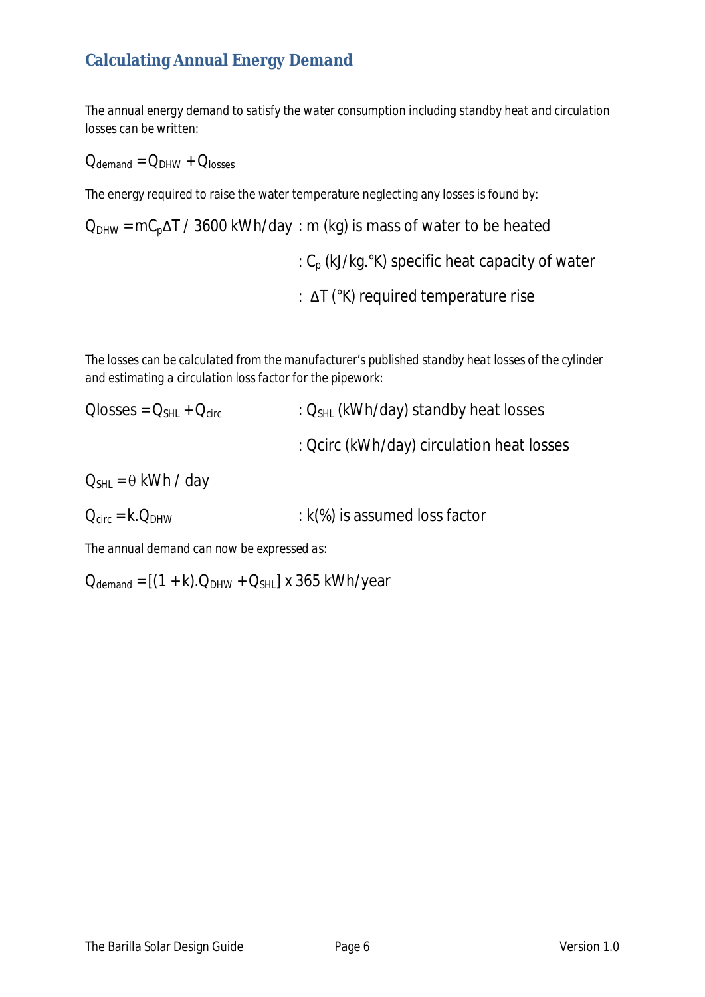# **Calculating Annual Energy Demand**

*The annual energy demand to satisfy the water consumption including standby heat and circulation losses can be written:* 

 $Q_{\text{demand}} = Q_{\text{DHW}} + Q_{\text{losses}}$ 

The energy required to raise the water temperature neglecting any losses is found by:

 $Q_{DHW}$  = mC<sub>p</sub> $\Delta T$  / 3600 kWh/day : m (kg) is mass of water to be heated :  $C_p$  (kJ/kg. $\degree$ K) specific heat capacity of water :  $\Delta T$  ( $\alpha$ K) required temperature rise

*The losses can be calculated from the manufacturer's published standby heat losses of the cylinder and estimating a circulation loss factor for the pipework:* 

- $\text{Olosses} = Q_{\text{SH}} + Q_{\text{circ}}$  :  $Q_{\text{SH}}$  (kWh/day) standby heat losses : Qcirc (kWh/day) circulation heat losses  $Q_{SHL} = \theta$  kWh / day
- $Q_{circ} = k.Q_{DHW}$  : k(%) is assumed loss factor

*The annual demand can now be expressed as:* 

 $Q_{\text{demand}} = [(1 + k).Q_{\text{DHW}} + Q_{\text{SHL}}]$  x 365 kWh/year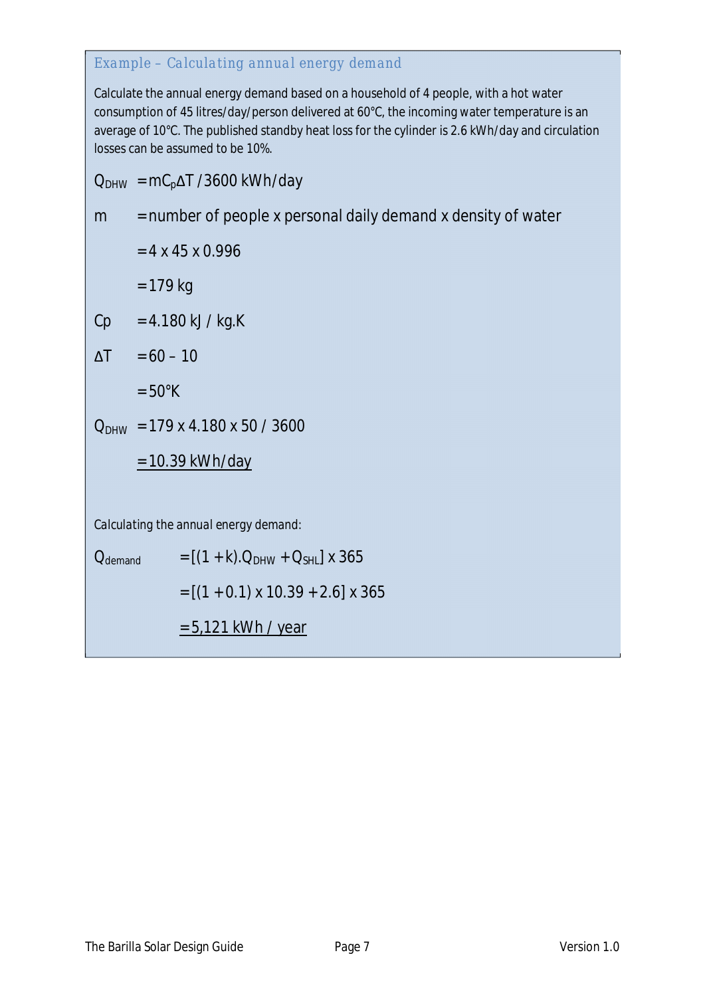#### *Example – Calculating annual energy demand*

Calculate the annual energy demand based on a household of 4 people, with a hot water consumption of 45 litres/day/person delivered at 60°C, the incoming water temperature is an average of 10°C. The published standby heat loss for the cylinder is 2.6 kWh/day and circulation losses can be assumed to be 10%.

 $Q_{DHW} = mC_p\Delta T / 3600$  kWh/day

$$
m
$$
 = number of people x personal daily demand x density of water

 $= 4 x 45 x 0.996$  $= 179 kg$ 

 $Cp = 4.180 \text{ kJ} / \text{kg.K}$ 

 $\Delta T = 60 - 10$ 

 $= 50^{\circ}$ K

 $Q_{DHW}$  = 179 x 4.180 x 50 / 3600

$$
= 10.39
$$
 kWh/day

*Calculating the annual energy demand:* 

 $Q_{\text{demand}} = [(1 + k).Q_{\text{DHW}} + Q_{\text{SHL}}] \times 365$  $= [(1 + 0.1) \times 10.39 + 2.6] \times 365$ = 5,121 kWh / year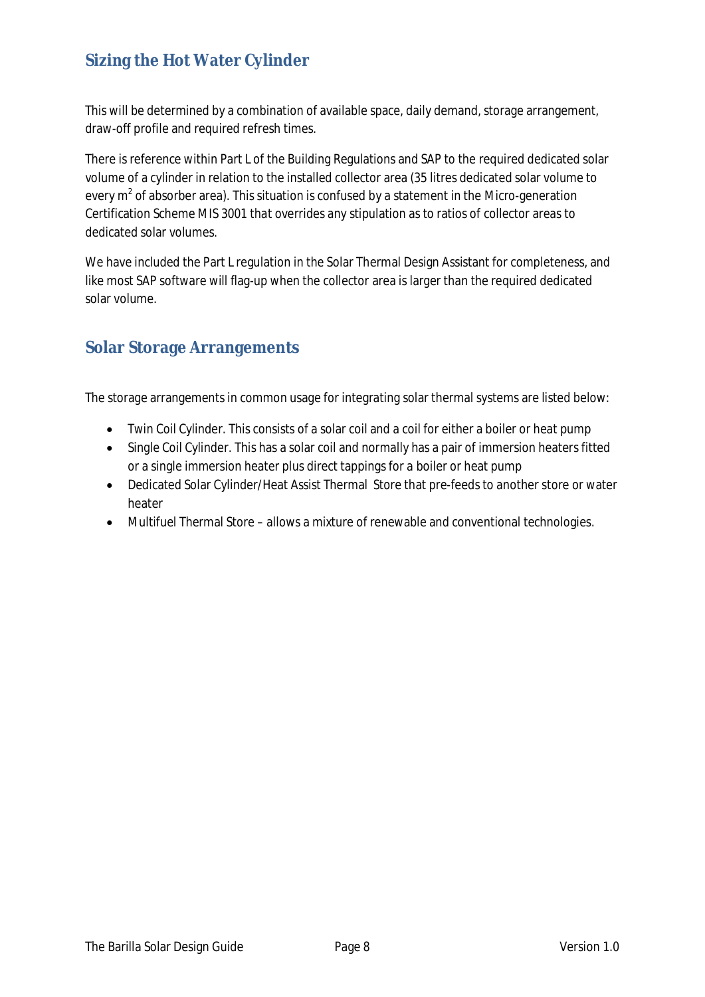# **Sizing the Hot Water Cylinder**

This will be determined by a combination of available space, daily demand, storage arrangement, draw-off profile and required refresh times.

There is reference within Part L of the Building Regulations and SAP to the required dedicated solar volume of a cylinder in relation to the installed collector area (35 litres dedicated solar volume to every  $m^2$  of absorber area). This situation is confused by a statement in the Micro-generation Certification Scheme MIS 3001 that overrides any stipulation as to ratios of collector areas to dedicated solar volumes.

We have included the Part L regulation in the Solar Thermal Design Assistant for completeness, and like most SAP software will flag-up when the collector area is larger than the required dedicated solar volume.

# **Solar Storage Arrangements**

The storage arrangements in common usage for integrating solar thermal systems are listed below:

- Twin Coil Cylinder. This consists of a solar coil and a coil for either a boiler or heat pump
- Single Coil Cylinder. This has a solar coil and normally has a pair of immersion heaters fitted or a single immersion heater plus direct tappings for a boiler or heat pump
- Dedicated Solar Cylinder/Heat Assist Thermal Store that pre-feeds to another store or water heater
- Multifuel Thermal Store allows a mixture of renewable and conventional technologies.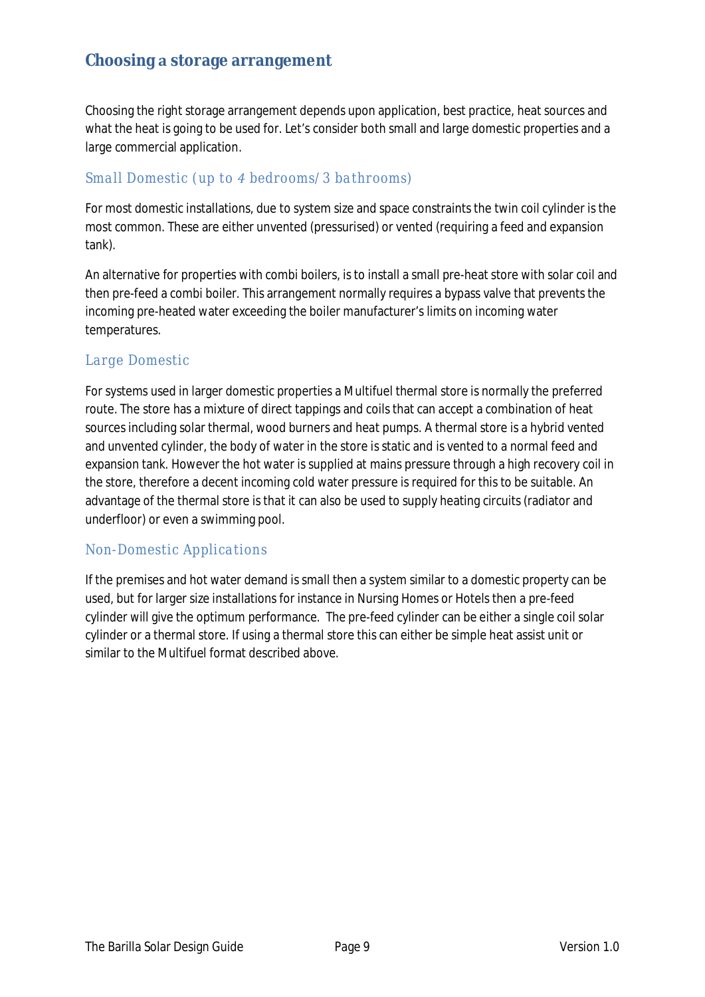### **Choosingstorage arrangement**

Choosing the right storage arrangement depends upon application, best practice, heat sources and what the heat is going to be used for. Let's consider both small and large domestic properties and a large commercial application.

#### *Small Domestic (up toͺbedrooms/3 bathrooms)*

For most domestic installations, due to system size and space constraints the twin coil cylinder is the most common. These are either unvented (pressurised) or vented (requiring a feed and expansion tank).

An alternative for properties with combi boilers, is to install a small pre-heat store with solar coil and then pre-feed a combi boiler. This arrangement normally requires a bypass valve that prevents the incoming pre-heated water exceeding the boiler manufacturer's limits on incoming water temperatures.

#### *Large Domestic*

For systems used in larger domestic properties a Multifuel thermal store is normally the preferred route. The store has a mixture of direct tappings and coils that can accept a combination of heat sources including solar thermal, wood burners and heat pumps. A thermal store is a hybrid vented and unvented cylinder, the body of water in the store is static and is vented to a normal feed and expansion tank. However the hot water is supplied at mains pressure through a high recovery coil in the store, therefore a decent incoming cold water pressure is required for this to be suitable. An advantage of the thermal store is that it can also be used to supply heating circuits (radiator and underfloor) or even a swimming pool.

#### *Non-Domestic Applications*

If the premises and hot water demand is small then a system similar to a domestic property can be used, but for larger size installations for instance in Nursing Homes or Hotels then a pre-feed cylinder will give the optimum performance. The pre-feed cylinder can be either a single coil solar cylinder or a thermal store. If using a thermal store this can either be simple heat assist unit or similar to the Multifuel format described above.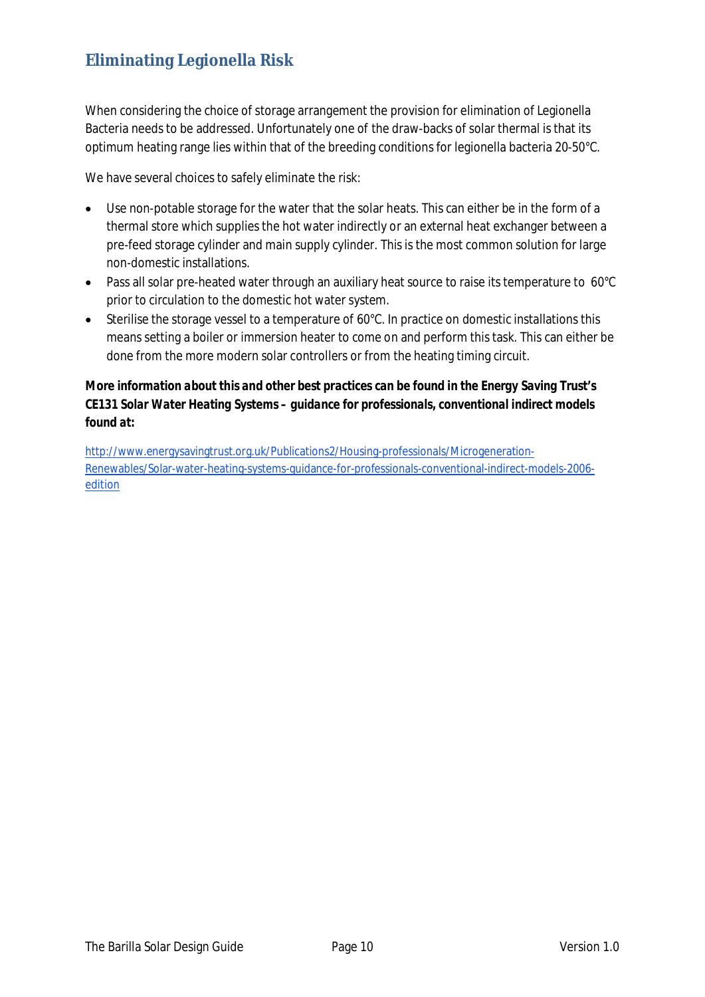# **Eliminating Legionella Risk**

When considering the choice of storage arrangement the provision for elimination of Legionella Bacteria needs to be addressed. Unfortunately one of the draw-backs of solar thermal is that its optimum heating range lies within that of the breeding conditions for legionella bacteria 20-50°C.

We have several choices to safely eliminate the risk:

- Use non-potable storage for the water that the solar heats. This can either be in the form of a thermal store which supplies the hot water indirectly or an external heat exchanger between a pre-feed storage cylinder and main supply cylinder. This is the most common solution for large non-domestic installations.
- Pass all solar pre-heated water through an auxiliary heat source to raise its temperature to  $60^{\circ}$ C prior to circulation to the domestic hot water system.
- Sterilise the storage vessel to a temperature of 60°C. In practice on domestic installations this means setting a boiler or immersion heater to come on and perform this task. This can either be done from the more modern solar controllers or from the heating timing circuit.

*More information about this and other best practices can be found in the Energy Saving Trust's CE131 Solar Water Heating Systems – guidance for professionals, conventional indirect models found at:* 

http://www.energysavingtrust.org.uk/Publications2/Housing-professionals/Microgeneration-Renewables/Solar-water-heating-systems-guidance-for-professionals-conventional-indirect-models-2006 edition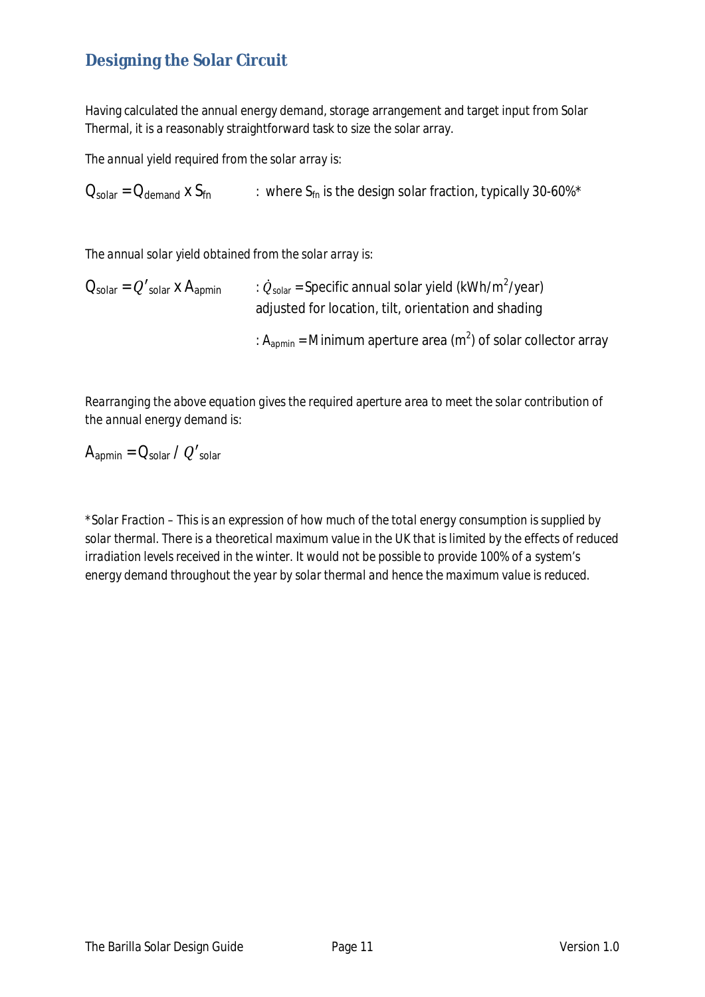# **Designing the Solar Circuit**

Having calculated the annual energy demand, storage arrangement and target input from Solar Thermal, it is a reasonably straightforward task to size the solar array.

*The annual yield required from the solar array is:* 

 $Q_{\text{solar}} = Q_{\text{demand}}$  x  $S_{\text{fn}}$  : where  $S_{\text{fn}}$  is the design solar fraction, typically 30-60%\*

*The annual solar yield obtained from the solar array is:* 

 $Q_{\text{solar}} = Q'_{\text{solar}} \times A_{\text{apmin}}$  $_{\text{solar}}$  = Specific annual solar yield (kWh/m<sup>2</sup>/year) adjusted for location, tilt, orientation and shading : A<sub>apmin</sub> = Minimum aperture area (m<sup>2</sup>) of solar collector array

*Rearranging the above equation gives the required aperture area to meet the solar contribution of the annual energy demand is:* 

 $A_{\text{apmin}} = Q_{\text{solar}} / Q'_{\text{solar}}$ 

*\*Solar Fraction – This is an expression of how much of the total energy consumption is supplied by solar thermal. There is a theoretical maximum value in the UK that is limited by the effects of reduced irradiation levels received in the winter. It would not be possible to provide 100% of a system's energy demand throughout the year by solar thermal and hence the maximum value is reduced.*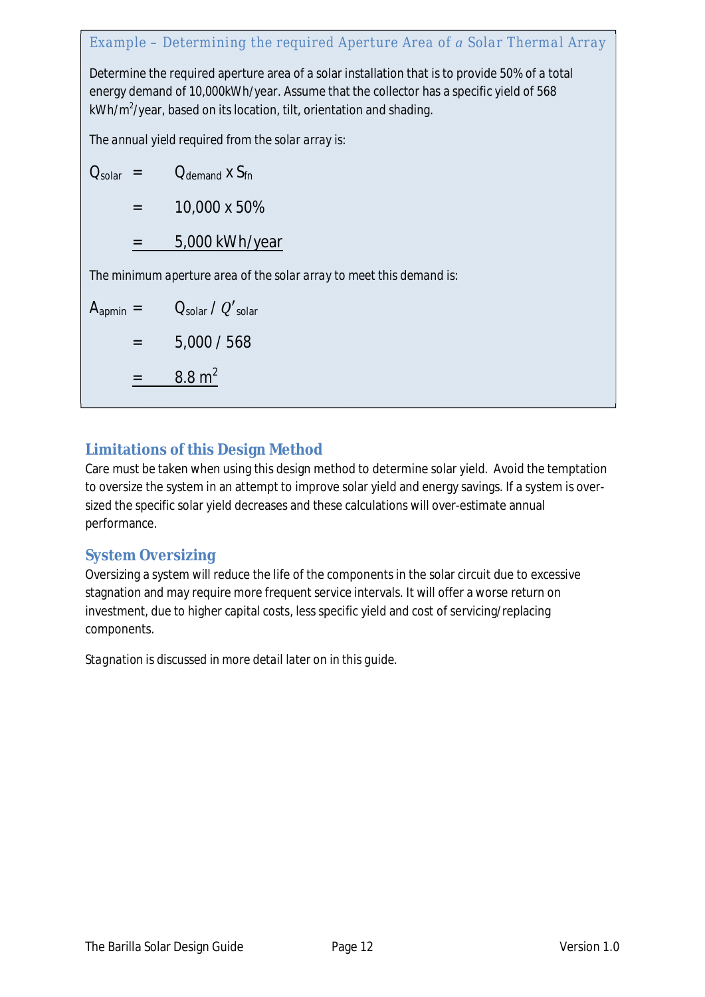# *Example – Determining the required Aperture Area ofSolar Thermal Array* Determine the required aperture area of a solar installation that is to provide 50% of a total energy demand of 10,000kWh/year. Assume that the collector has a specific yield of 568 kWh/m<sup>2</sup>/year, based on its location, tilt, orientation and shading. *The annual yield required from the solar array is:*   $Q_{\text{solar}}$  =  $Q_{\text{demand}}$  x  $S_{\text{fn}}$  $= 10,000 \times 50\%$

 $= 5,000$  kWh/year

*The minimum aperture area of the solar array to meet this demand is:* 

 $A_{\text{aomin}} = \bigcup_{\text{solar}} / Q'_{\text{solar}}$  $= 5,000 / 568$  $=$  8.8 m<sup>2</sup>

# **Limitations of this Design Method**

Care must be taken when using this design method to determine solar yield. Avoid the temptation to oversize the system in an attempt to improve solar yield and energy savings. If a system is oversized the specific solar yield decreases and these calculations will over-estimate annual performance.

# **System Oversizing**

Oversizing a system will reduce the life of the components in the solar circuit due to excessive stagnation and may require more frequent service intervals. It will offer a worse return on investment, due to higher capital costs, less specific yield and cost of servicing/replacing components.

*Stagnation is discussed in more detail later on in this guide.*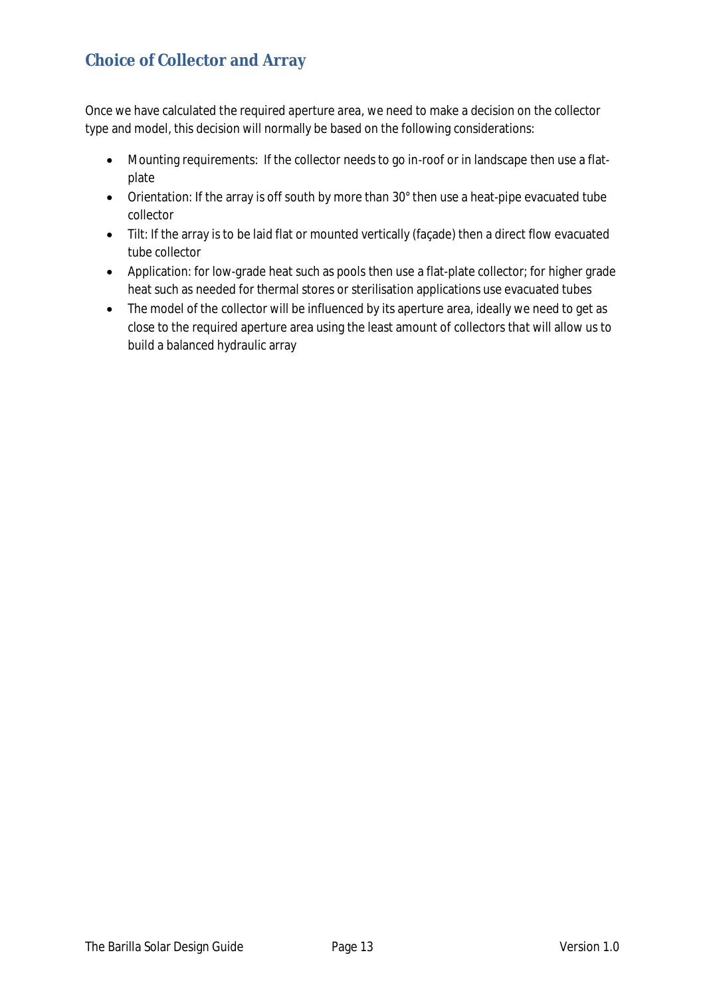# **Choice of Collector and Array**

Once we have calculated the required aperture area, we need to make a decision on the collector type and model, this decision will normally be based on the following considerations:

- Mounting requirements: If the collector needs to go in-roof or in landscape then use a flatplate
- Orientation: If the array is off south by more than 30° then use a heat-pipe evacuated tube collector
- Tilt: If the array is to be laid flat or mounted vertically (façade) then a direct flow evacuated tube collector
- Application: for low-grade heat such as pools then use a flat-plate collector; for higher grade heat such as needed for thermal stores or sterilisation applications use evacuated tubes
- The model of the collector will be influenced by its aperture area, ideally we need to get as close to the required aperture area using the least amount of collectors that will allow us to build a balanced hydraulic array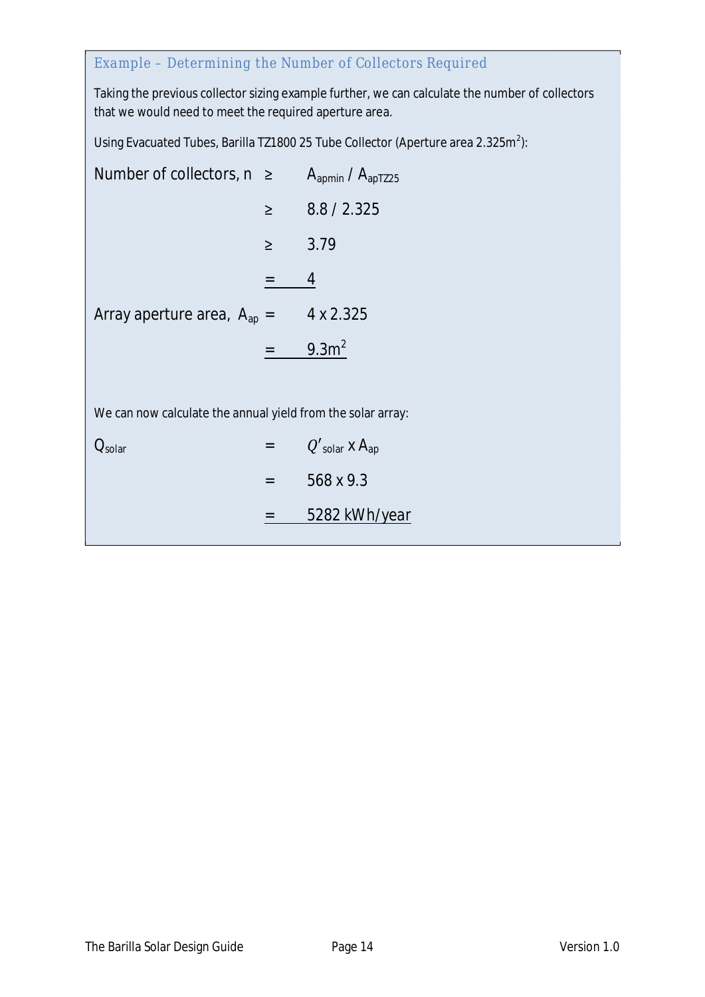# *Example – Determining the Number of Collectors Required*

Taking the previous collector sizing example further, we can calculate the number of collectors that we would need to meet the required aperture area.

Using Evacuated Tubes, Barilla TZ1800 25 Tube Collector (Aperture area 2.325m<sup>2</sup>):

| Number of collectors, $n \geq A_{\text{apmin}}/A_{\text{apT225}}$ |        |                                          |  |  |
|-------------------------------------------------------------------|--------|------------------------------------------|--|--|
|                                                                   | $\geq$ | 8.8 / 2.325                              |  |  |
|                                                                   | $\geq$ | 3.79                                     |  |  |
|                                                                   |        | 4                                        |  |  |
| Array aperture area, $A_{\text{ap}} =$                            |        | 4 x 2.325                                |  |  |
|                                                                   |        | 9.3 <sup>2</sup>                         |  |  |
|                                                                   |        |                                          |  |  |
| We can now calculate the annual yield from the solar array:       |        |                                          |  |  |
| $\mathcal{L}_{\text{solar}}$                                      |        | $Q'_{\text{solar}} \times A_{\text{ap}}$ |  |  |
|                                                                   | $=$    | 568 x 9.3                                |  |  |
|                                                                   |        | 5282 kWh/year                            |  |  |
|                                                                   |        |                                          |  |  |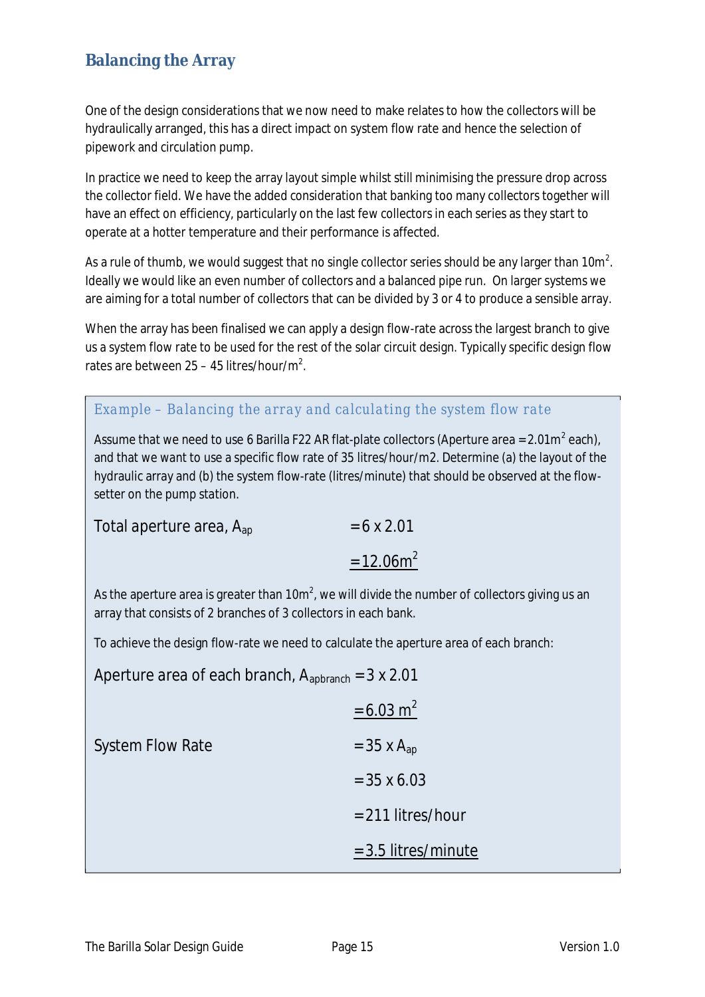### **Balancing the Array**

One of the design considerations that we now need to make relates to how the collectors will be hydraulically arranged, this has a direct impact on system flow rate and hence the selection of pipework and circulation pump.

In practice we need to keep the array layout simple whilst still minimising the pressure drop across the collector field. We have the added consideration that banking too many collectors together will have an effect on efficiency, particularly on the last few collectors in each series as they start to operate at a hotter temperature and their performance is affected.

As a rule of thumb, we would suggest that no single collector series should be any larger than 10m $^2$ . Ideally we would like an even number of collectors and a balanced pipe run. On larger systems we are aiming for a total number of collectors that can be divided by 3 or 4 to produce a sensible array.

When the array has been finalised we can apply a design flow-rate across the largest branch to give us a system flow rate to be used for the rest of the solar circuit design. Typically specific design flow rates are between  $25 - 45$  litres/hour/m<sup>2</sup>.

#### *Example – Balancing the array and calculating the system flow rate*

Assume that we need to use 6 Barilla F22 AR flat-plate collectors (Aperture area = 2.01m<sup>2</sup> each), and that we want to use a specific flow rate of 35 litres/hour/m2. Determine (a) the layout of the hydraulic array and (b) the system flow-rate (litres/minute) that should be observed at the flowsetter on the pump station.

| Total aperture area, $A_{\text{ap}}$ | $= 6 \times 2.01$        |
|--------------------------------------|--------------------------|
|                                      | $= 12.06$ m <sup>2</sup> |

As the aperture area is greater than 10 $m^2$ , we will divide the number of collectors giving us an array that consists of 2 branches of 3 collectors in each bank.

To achieve the design flow-rate we need to calculate the aperture area of each branch:

Aperture area of each branch,  $A_{\text{abbrev}} = 3 \times 2.01$ 

|                         | $= 6.03$ m <sup>2</sup>  |
|-------------------------|--------------------------|
| <b>System Flow Rate</b> | $=$ 35 x A <sub>ap</sub> |
|                         | $= 35 \times 6.03$       |
|                         | $= 211$ litres/hour      |
|                         | $=$ 3.5 litres/minute    |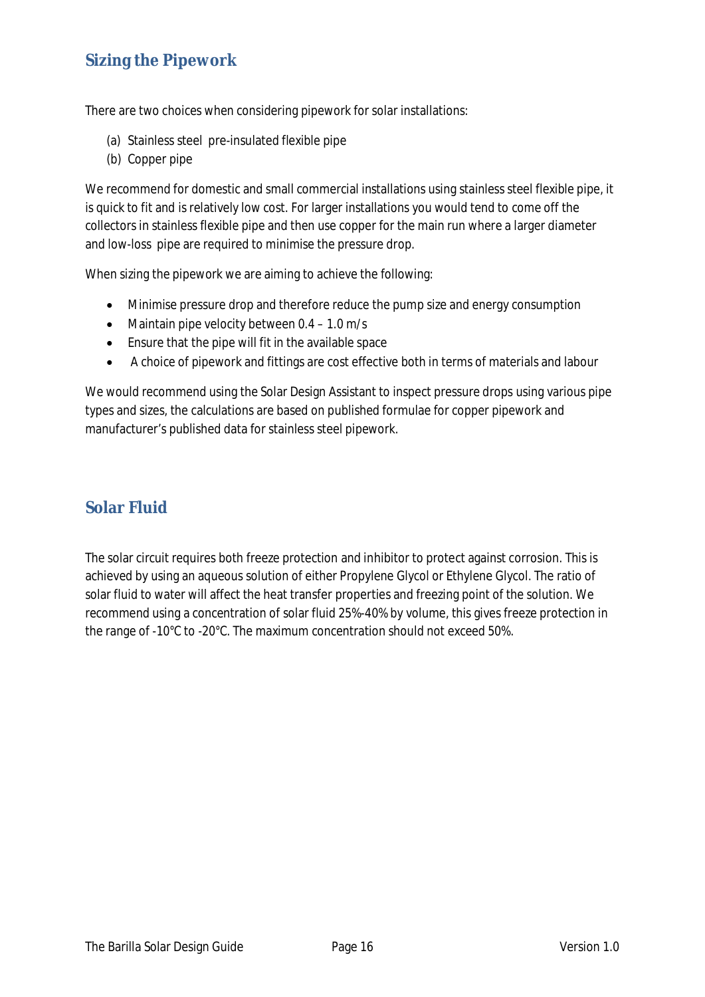### **Sizing the Pipework**

There are two choices when considering pipework for solar installations:

- (a) Stainless steel pre-insulated flexible pipe
- (b) Copper pipe

We recommend for domestic and small commercial installations using stainless steel flexible pipe, it is quick to fit and is relatively low cost. For larger installations you would tend to come off the collectors in stainless flexible pipe and then use copper for the main run where a larger diameter and low-loss pipe are required to minimise the pressure drop.

When sizing the pipework we are aiming to achieve the following:

- Minimise pressure drop and therefore reduce the pump size and energy consumption
- Maintain pipe velocity between  $0.4 1.0$  m/s
- $\bullet$  Ensure that the pipe will fit in the available space
- A choice of pipework and fittings are cost effective both in terms of materials and labour

We would recommend using the Solar Design Assistant to inspect pressure drops using various pipe types and sizes, the calculations are based on published formulae for copper pipework and manufacturer's published data for stainless steel pipework.

### **Solar Fluid**

The solar circuit requires both freeze protection and inhibitor to protect against corrosion. This is achieved by using an aqueous solution of either Propylene Glycol or Ethylene Glycol. The ratio of solar fluid to water will affect the heat transfer properties and freezing point of the solution. We recommend using a concentration of solar fluid 25%-40% by volume, this gives freeze protection in the range of -10°C to -20°C. The maximum concentration should not exceed 50%.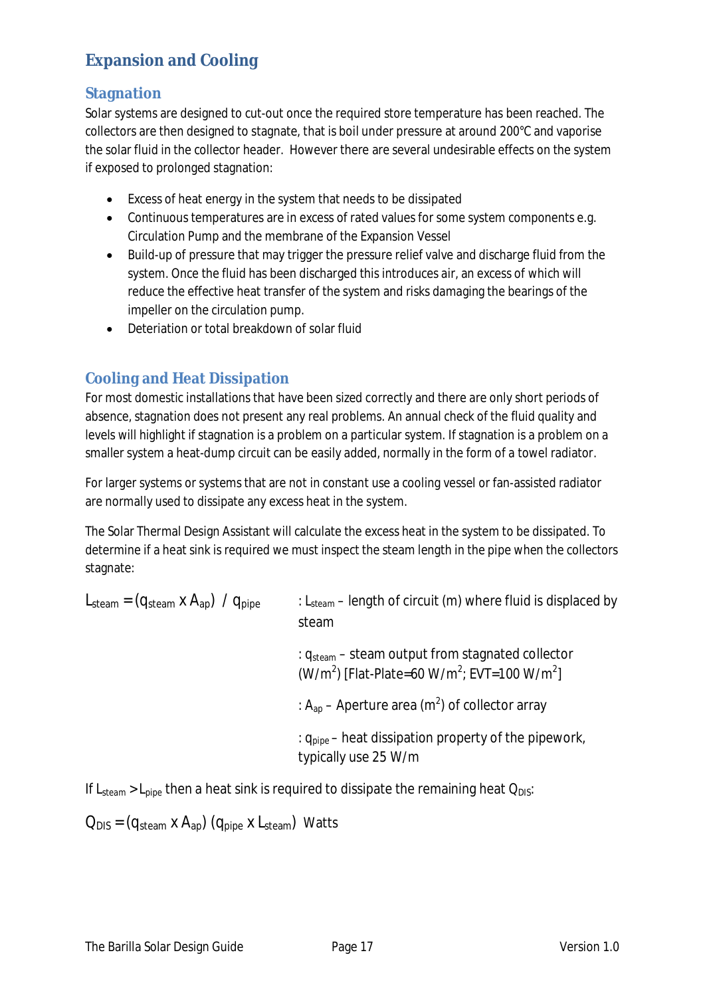# **Expansion and Cooling**

#### **Stagnation**

Solar systems are designed to cut-out once the required store temperature has been reached. The collectors are then designed to stagnate, that is boil under pressure at around 200°C and vaporise the solar fluid in the collector header. However there are several undesirable effects on the system if exposed to prolonged stagnation:

- $\bullet$  Excess of heat energy in the system that needs to be dissipated
- Continuous temperatures are in excess of rated values for some system components e.g. Circulation Pump and the membrane of the Expansion Vessel
- Build-up of pressure that may trigger the pressure relief valve and discharge fluid from the system. Once the fluid has been discharged this introduces air, an excess of which will reduce the effective heat transfer of the system and risks damaging the bearings of the impeller on the circulation pump.
- Deteriation or total breakdown of solar fluid

### **Cooling and Heat Dissipation**

For most domestic installations that have been sized correctly and there are only short periods of absence, stagnation does not present any real problems. An annual check of the fluid quality and levels will highlight if stagnation is a problem on a particular system. If stagnation is a problem on a smaller system a heat-dump circuit can be easily added, normally in the form of a towel radiator.

For larger systems or systems that are not in constant use a cooling vessel or fan-assisted radiator are normally used to dissipate any excess heat in the system.

The Solar Thermal Design Assistant will calculate the excess heat in the system to be dissipated. To determine if a heat sink is required we must inspect the steam length in the pipe when the collectors stagnate:

| $L_{\text{steam}} = (q_{\text{steam}} \times A_{\text{ap}})$ / $q_{\text{pipe}}$ | : $L_{\text{steam}}$ – length of circuit (m) where fluid is displaced by<br>steam                                                                |
|----------------------------------------------------------------------------------|--------------------------------------------------------------------------------------------------------------------------------------------------|
|                                                                                  | : $q_{\text{steam}}$ – steam output from stagnated collector<br>(W/m <sup>2</sup> ) [Flat-Plate=60 W/m <sup>2</sup> ; EVT=100 W/m <sup>2</sup> ] |
|                                                                                  | : $A_{ap}$ – Aperture area (m <sup>2</sup> ) of collector array                                                                                  |
|                                                                                  | : $q_{\text{pipe}}$ – heat dissipation property of the pipework,<br>typically use 25 W/m                                                         |

If  $L_{\text{Mean}} > L_{\text{pipe}}$  then a heat sink is required to dissipate the remaining heat  $Q_{\text{DIS}}$ :

 $Q_{DIS} = (q_{\text{steam}} \times A_{\text{an}}) (q_{\text{pipe}} \times L_{\text{steam}})$  Watts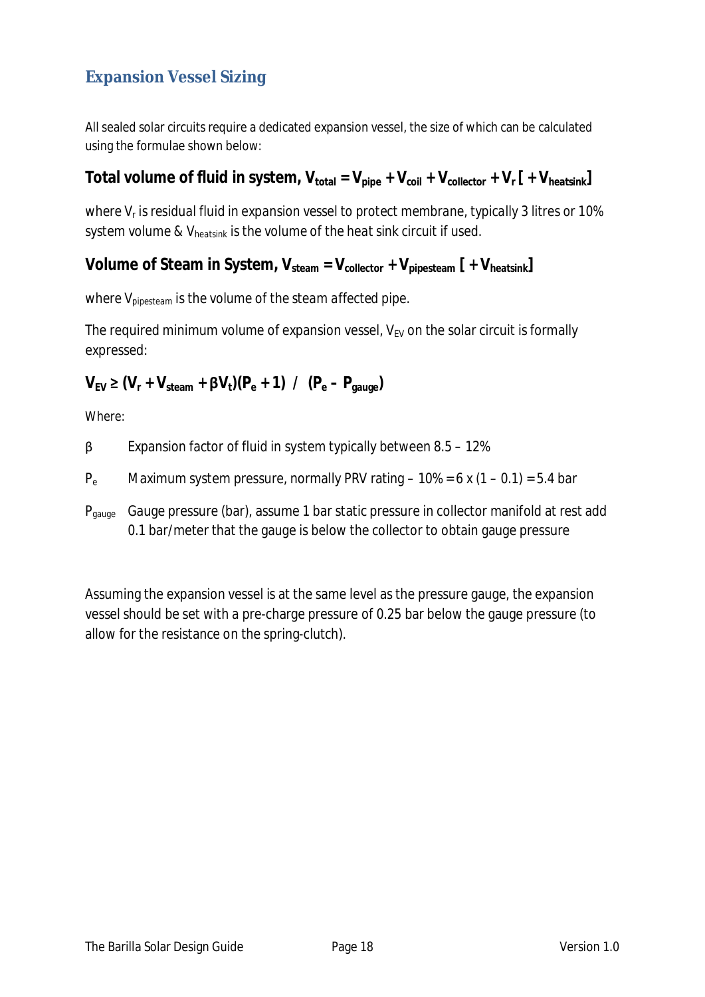# **Expansion Vessel Sizing**

All sealed solar circuits require a dedicated expansion vessel, the size of which can be calculated using the formulae shown below:

Total volume of fluid in system,  $V_{total} = V_{pipe} + V_{coil} + V_{collector} + V_{r}[ + V_{heatsink}]$ 

*where V<sup>r</sup> is residual fluid in expansion vessel to protect membrane, typically 3 litres or 10% system volume & Vheatsink is the volume of the heat sink circuit if used.* 

**Volume of Steam in System,**  $V_{\text{steam}} = V_{\text{collector}} + V_{\text{noisesteam}}$  **[ +**  $V_{\text{heatsink}}$ **]** 

*where Vpipesteam is the volume of the steam affected pipe.* 

The required minimum volume of expansion vessel,  $V_{EV}$  on the solar circuit is formally expressed:

 $V_{EV} \ge (V_r + V_{\text{stream}} + \beta V_t)(P_e + 1)$  /  $(P_e - P_{\text{gauge}})$ 

Where:

 $\beta$  Expansion factor of fluid in system typically between 8.5 – 12%

 $P_e$  Maximum system pressure, normally PRV rating  $-10\% = 6 \times (1 - 0.1) = 5.4$  bar

P<sub>gauge</sub> Gauge pressure (bar), assume 1 bar static pressure in collector manifold at rest add 0.1 bar/meter that the gauge is below the collector to obtain gauge pressure

Assuming the expansion vessel is at the same level as the pressure gauge, the expansion vessel should be set with a pre-charge pressure of 0.25 bar below the gauge pressure (to allow for the resistance on the spring-clutch).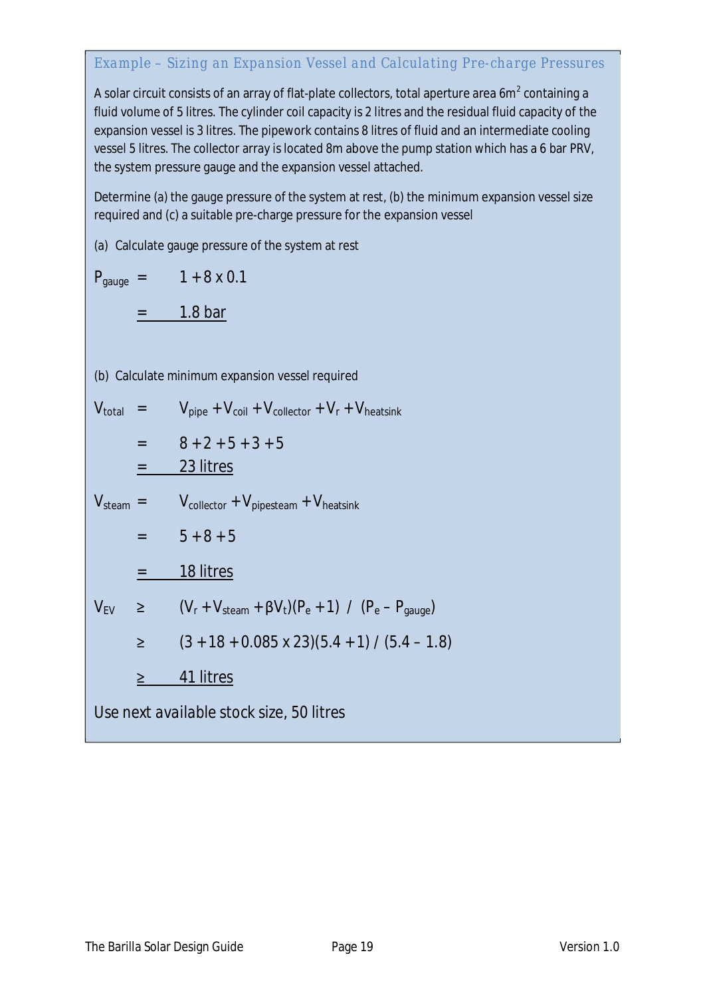#### *Example – Sizing an Expansion Vessel and Calculating Pre-charge Pressures*

A solar circuit consists of an array of flat-plate collectors, total aperture area 6m $^{\text{2}}$  containing a fluid volume of 5 litres. The cylinder coil capacity is 2 litres and the residual fluid capacity of the expansion vessel is 3 litres. The pipework contains 8 litres of fluid and an intermediate cooling vessel 5 litres. The collector array is located 8m above the pump station which has a 6 bar PRV, the system pressure gauge and the expansion vessel attached.

Determine (a) the gauge pressure of the system at rest, (b) the minimum expansion vessel size required and (c) a suitable pre-charge pressure for the expansion vessel

(a) Calculate gauge pressure of the system at rest

 $P_{\text{gauge}} = 1 + 8 \times 0.1$ 

 $=$  1.8 bar

(b) Calculate minimum expansion vessel required

 $V_{\text{total}}$  =  $V_{\text{pipe}} + V_{\text{coil}} + V_{\text{collector}} + V_{\text{r}} + V_{\text{heatsink}}$  $= 8 + 2 + 5 + 3 + 5$  $= 23$  litres

 $V_{\text{steam}}$  =  $V_{\text{collector}} + V_{\text{pipesteam}} + V_{\text{heatsink}}$ 

$$
= 5+8+5
$$

$$
= 18 litres
$$

$$
V_{EV}
$$
  $\geq$   $(V_r + V_{steam} + \beta V_t)(P_e + 1) / (P_e - P_{gauge})$   
 $\geq$   $(3 + 18 + 0.085 \times 23)(5.4 + 1) / (5.4 - 1.8)$ 

 $\geq$  41 litres

*Use next available stock size, 50 litres*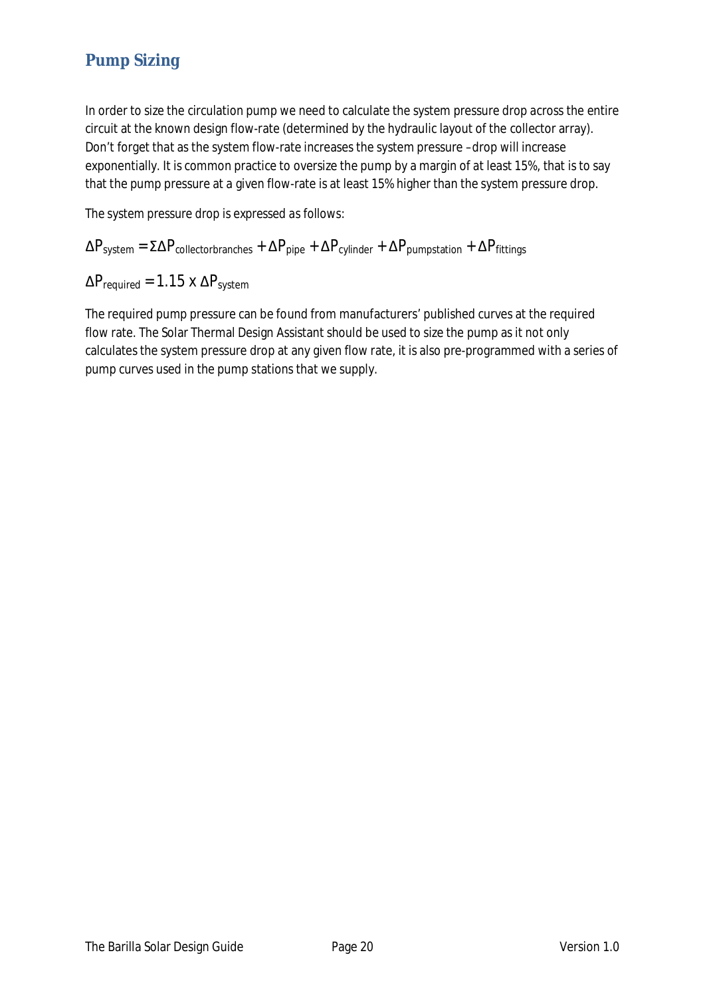# **Pump Sizing**

In order to size the circulation pump we need to calculate the system pressure drop across the entire circuit at the known design flow-rate (determined by the hydraulic layout of the collector array). Don't forget that as the system flow-rate increases the system pressure –drop will increase exponentially. It is common practice to oversize the pump by a margin of at least 15%, that is to say that the pump pressure at a given flow-rate is at least 15% higher than the system pressure drop.

*The system pressure drop is expressed as follows:* 

 $\Delta P_{system} = \Sigma \Delta P_{collector branches} + \Delta P_{pipe} + \Delta P_{cylinder} + \Delta P_{pumpstation} + \Delta P_{fittings}$ 

 $\Delta P_{\text{required}} = 1.15 \times \Delta P_{\text{system}}$ 

The required pump pressure can be found from manufacturers' published curves at the required flow rate. The Solar Thermal Design Assistant should be used to size the pump as it not only calculates the system pressure drop at any given flow rate, it is also pre-programmed with a series of pump curves used in the pump stations that we supply.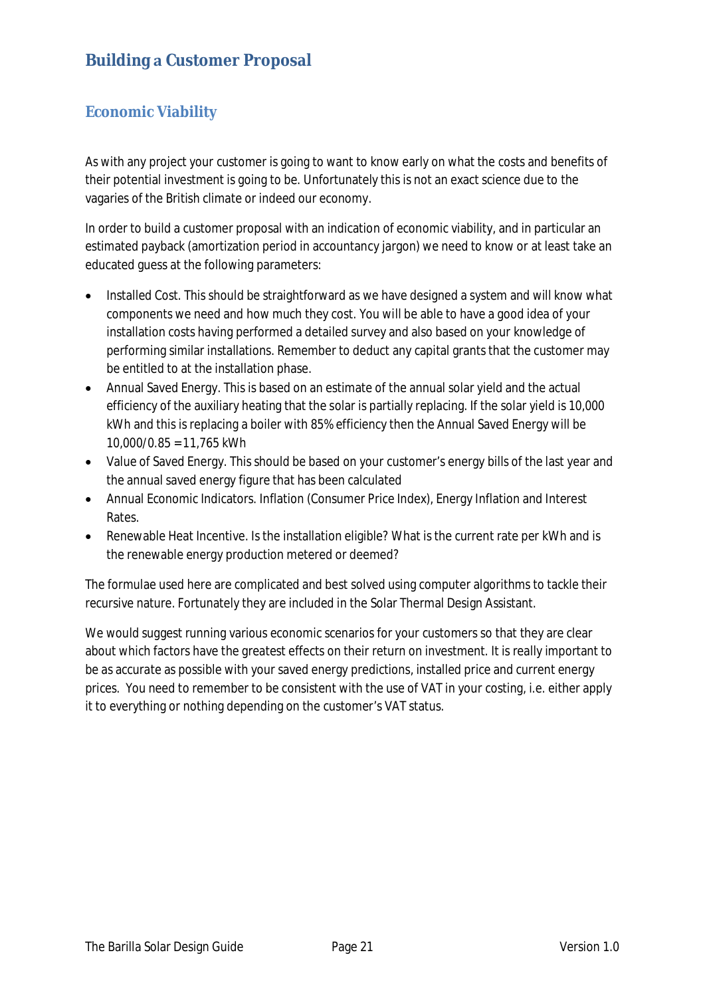# **Building a Customer Proposal**

### **Economic Viability**

As with any project your customer is going to want to know early on what the costs and benefits of their potential investment is going to be. Unfortunately this is not an exact science due to the vagaries of the British climate or indeed our economy.

In order to build a customer proposal with an indication of economic viability, and in particular an estimated payback (amortization period in accountancy jargon) we need to know or at least take an educated guess at the following parameters:

- Installed Cost. This should be straightforward as we have designed a system and will know what components we need and how much they cost. You will be able to have a good idea of your installation costs having performed a detailed survey and also based on your knowledge of performing similar installations. Remember to deduct any capital grants that the customer may be entitled to at the installation phase.
- Annual Saved Energy. This is based on an estimate of the annual solar yield and the actual efficiency of the auxiliary heating that the solar is partially replacing. If the solar yield is 10,000 kWh and this is replacing a boiler with 85% efficiency then the Annual Saved Energy will be 10,000/0.85 = 11,765 kWh
- Value of Saved Energy. This should be based on your customer's energy bills of the last year and the annual saved energy figure that has been calculated
- Annual Economic Indicators. Inflation (Consumer Price Index), Energy Inflation and Interest Rates.
- Renewable Heat Incentive. Is the installation eligible? What is the current rate per kWh and is the renewable energy production metered or deemed?

The formulae used here are complicated and best solved using computer algorithms to tackle their recursive nature. Fortunately they are included in the Solar Thermal Design Assistant.

We would suggest running various economic scenarios for your customers so that they are clear about which factors have the greatest effects on their return on investment. It is really important to be as accurate as possible with your saved energy predictions, installed price and current energy prices. You need to remember to be consistent with the use of VAT in your costing, i.e. either apply it to everything or nothing depending on the customer's VAT status.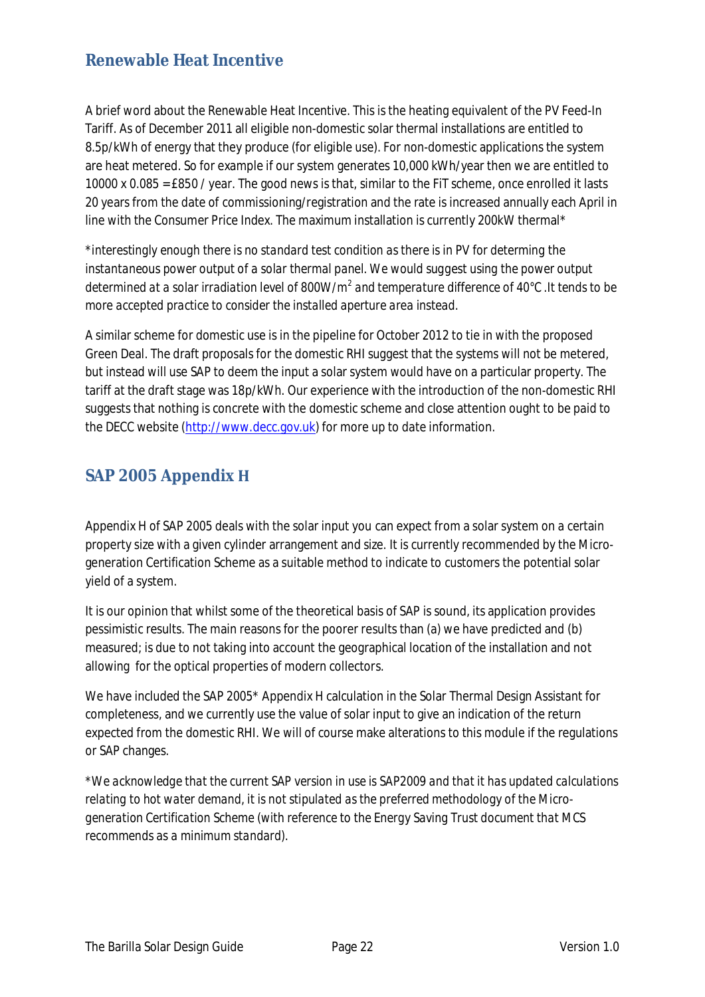### **Renewable Heat Incentive**

A brief word about the Renewable Heat Incentive. This is the heating equivalent of the PV Feed-In Tariff. As of December 2011 all eligible non-domestic solar thermal installations are entitled to 8.5p/kWh of energy that they produce (for eligible use). For non-domestic applications the system are heat metered. So for example if our system generates 10,000 kWh/year then we are entitled to 10000 x 0.085 = £850 / year. The good news is that, similar to the FiT scheme, once enrolled it lasts 20 years from the date of commissioning/registration and the rate is increased annually each April in line with the Consumer Price Index. The maximum installation is currently 200kW thermal\*

*\*interestingly enough there is no standard test condition as there is in PV for determing the instantaneous power output of a solar thermal panel. We would suggest using the power output determined at a solar irradiation level of 800W/m<sup>2</sup> and temperature difference of 40°C .It tends to be more accepted practice to consider the installed aperture area instead.* 

A similar scheme for domestic use is in the pipeline for October 2012 to tie in with the proposed Green Deal. The draft proposals for the domestic RHI suggest that the systems will not be metered, but instead will use SAP to deem the input a solar system would have on a particular property. The tariff at the draft stage was 18p/kWh. Our experience with the introduction of the non-domestic RHI suggests that nothing is concrete with the domestic scheme and close attention ought to be paid to the DECC website (http://www.decc.gov.uk) for more up to date information.

### **SAP 2005 Appendix**

Appendix H of SAP 2005 deals with the solar input you can expect from a solar system on a certain property size with a given cylinder arrangement and size. It is currently recommended by the Microgeneration Certification Scheme as a suitable method to indicate to customers the potential solar yield of a system.

It is our opinion that whilst some of the theoretical basis of SAP is sound, its application provides pessimistic results. The main reasons for the poorer results than (a) we have predicted and (b) measured; is due to not taking into account the geographical location of the installation and not allowing for the optical properties of modern collectors.

We have included the SAP 2005\* Appendix H calculation in the Solar Thermal Design Assistant for completeness, and we currently use the value of solar input to give an indication of the return expected from the domestic RHI. We will of course make alterations to this module if the regulations or SAP changes.

*\*We acknowledge that the current SAP version in use is SAP2009 and that it has updated calculations relating to hot water demand, it is not stipulated as the preferred methodology of the Microgeneration Certification Scheme (with reference to the Energy Saving Trust document that MCS recommends as a minimum standard).*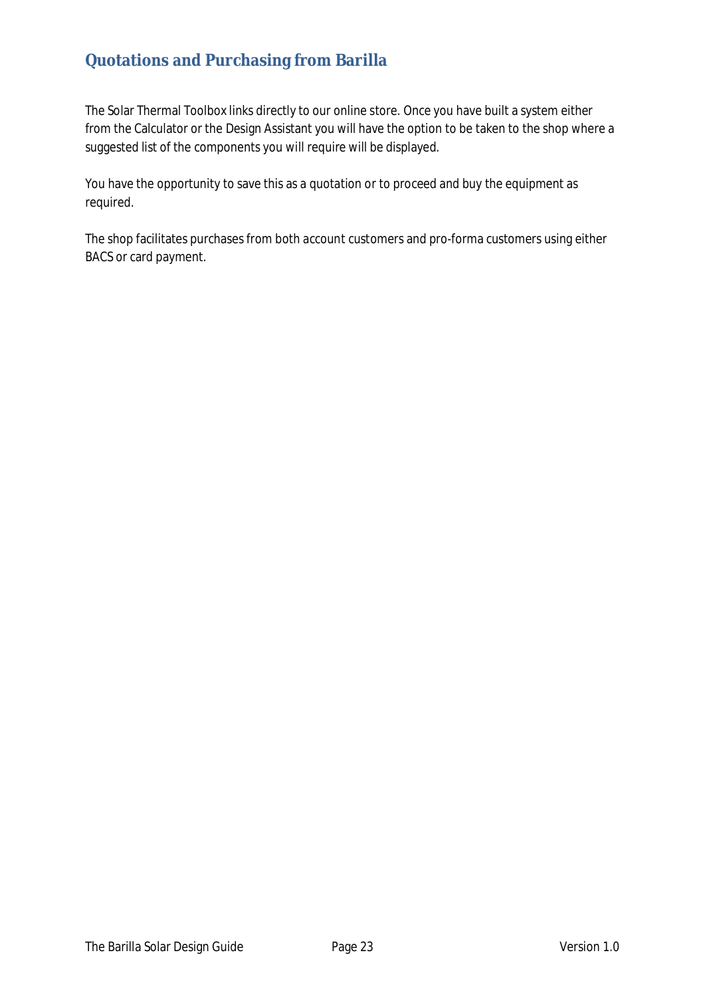# **Quotations and Purchasing from Barilla**

The Solar Thermal Toolbox links directly to our online store. Once you have built a system either from the Calculator or the Design Assistant you will have the option to be taken to the shop where a suggested list of the components you will require will be displayed.

You have the opportunity to save this as a quotation or to proceed and buy the equipment as required.

The shop facilitates purchases from both account customers and pro-forma customers using either BACS or card payment.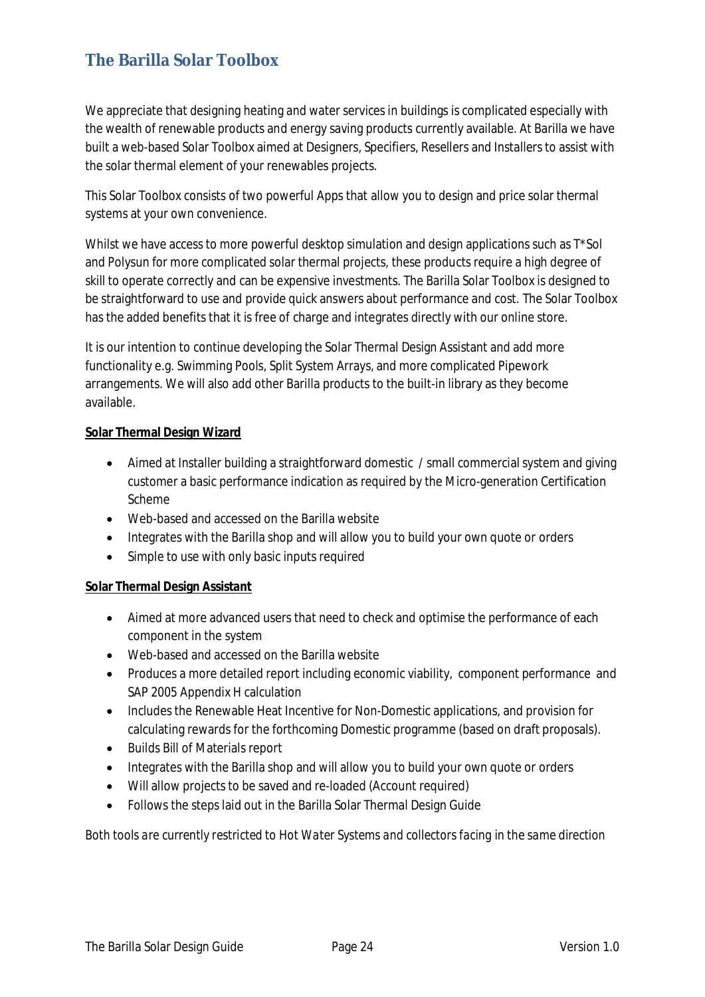# **The Barilla Solar Toolbox**

We appreciate that designing heating and water services in buildings is complicated especially with the wealth of renewable products and energy saving products currently available. At Barilla we have built a web-based Solar Toolbox aimed at Designers, Specifiers, Resellers and Installers to assist with the solar thermal element of your renewables projects.

This Solar Toolbox consists of two powerful Apps that allow you to design and price solar thermal systems at your own convenience.

Whilst we have access to more powerful desktop simulation and design applications such as T\*Sol and Polysun for more complicated solar thermal projects, these products require a high degree of skill to operate correctly and can be expensive investments. The Barilla Solar Toolbox is designed to be straightforward to use and provide quick answers about performance and cost. The Solar Toolbox has the added benefits that it is free of charge and integrates directly with our online store.

It is our intention to continue developing the Solar Thermal Design Assistant and add more functionality e.g. Swimming Pools, Split System Arrays, and more complicated Pipework arrangements. We will also add other Barilla products to the built-in library as they become available.

#### **Solar Thermal Design Wizard**

- Aimed at Installer building a straightforward domestic / small commercial system and giving customer a basic performance indication as required by the Micro-generation Certification Scheme
- Web-based and accessed on the Barilla website
- Integrates with the Barilla shop and will allow you to build your own quote or orders
- Simple to use with only basic inputs required

#### **Solar Thermal Design Assistant**

- Aimed at more advanced users that need to check and optimise the performance of each component in the system
- Web-based and accessed on the Barilla website
- Produces a more detailed report including economic viability, component performance and SAP 2005 Appendix H calculation
- Includes the Renewable Heat Incentive for Non-Domestic applications, and provision for calculating rewards for the forthcoming Domestic programme (based on draft proposals).
- Builds Bill of Materials report
- Integrates with the Barilla shop and will allow you to build your own quote or orders
- Will allow projects to be saved and re-loaded (Account required)
- Follows the steps laid out in the Barilla Solar Thermal Design Guide

*Both tools are currently restricted to Hot Water Systems and collectors facing in the same direction*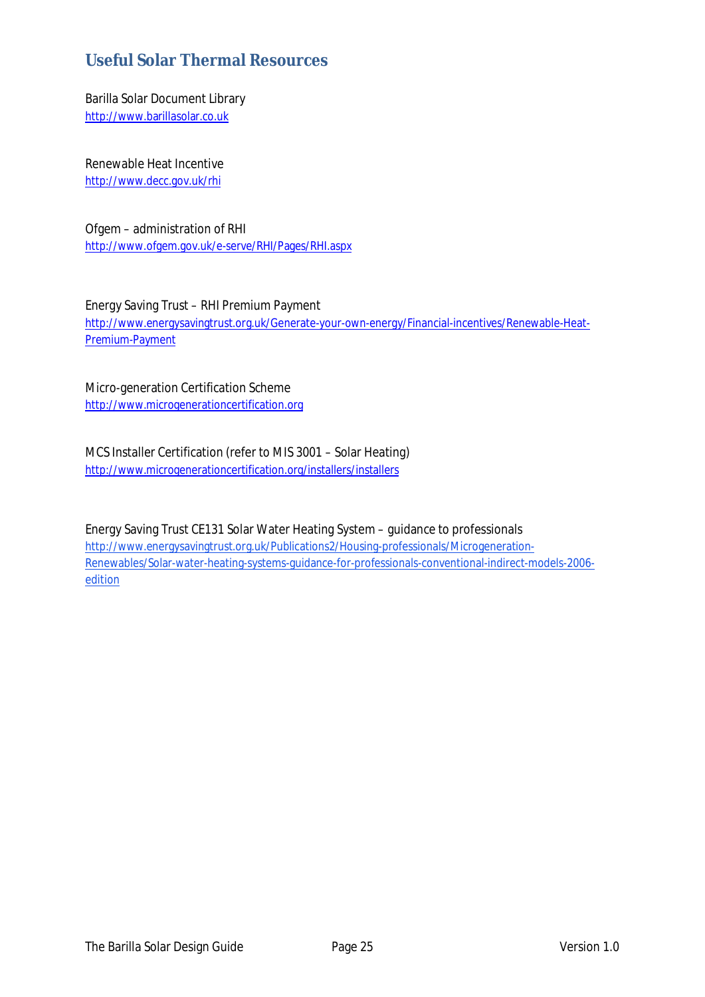### **Useful Solar Thermal Resources**

Barilla Solar Document Library http://www.barillasolar.co.uk

Renewable Heat Incentive http://www.decc.gov.uk/rhi

Ofgem – administration of RHI http://www.ofgem.gov.uk/e-serve/RHI/Pages/RHI.aspx

Energy Saving Trust – RHI Premium Payment http://www.energysavingtrust.org.uk/Generate-your-own-energy/Financial-incentives/Renewable-Heat-Premium-Payment

Micro-generation Certification Scheme http://www.microgenerationcertification.org

MCS Installer Certification (refer to MIS 3001 – Solar Heating) http://www.microgenerationcertification.org/installers/installers

Energy Saving Trust CE131 Solar Water Heating System – guidance to professionals http://www.energysavingtrust.org.uk/Publications2/Housing-professionals/Microgeneration-Renewables/Solar-water-heating-systems-guidance-for-professionals-conventional-indirect-models-2006 edition